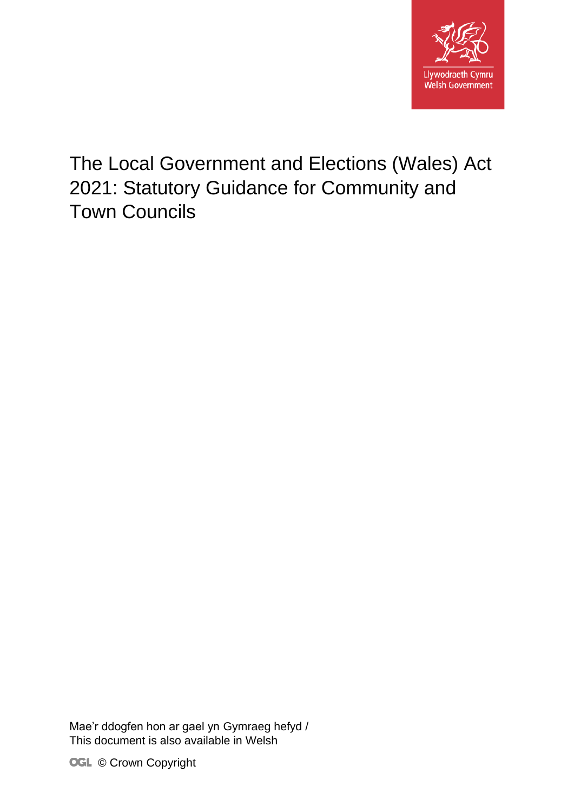

# The Local Government and Elections (Wales) Act 2021: Statutory Guidance for Community and Town Councils

Mae'r ddogfen hon ar gael yn Gymraeg hefyd / This document is also available in Welsh

**OGL** © Crown Copyright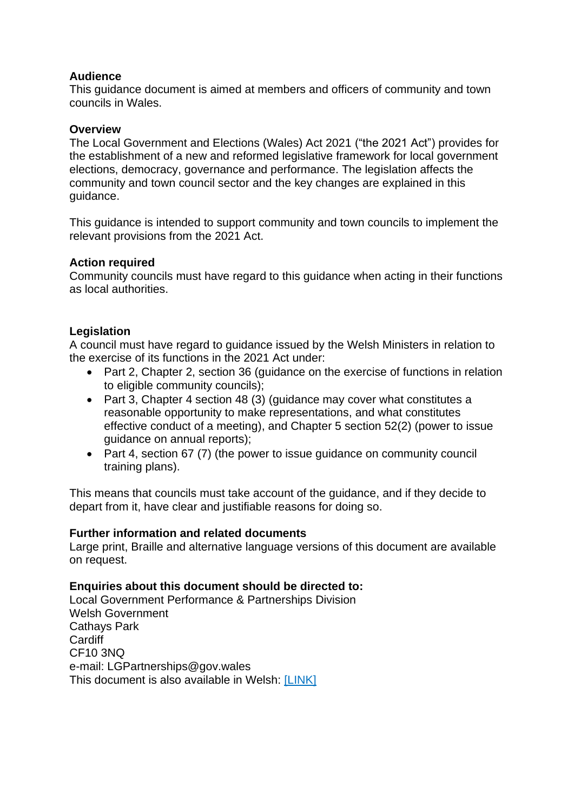### **Audience**

This guidance document is aimed at members and officers of community and town councils in Wales.

### **Overview**

The Local Government and Elections (Wales) Act 2021 ("the 2021 Act") provides for the establishment of a new and reformed legislative framework for local government elections, democracy, governance and performance. The legislation affects the community and town council sector and the key changes are explained in this guidance.

This guidance is intended to support community and town councils to implement the relevant provisions from the 2021 Act.

### **Action required**

Community councils must have regard to this guidance when acting in their functions as local authorities.

### **Legislation**

A council must have regard to guidance issued by the Welsh Ministers in relation to the exercise of its functions in the 2021 Act under:

- Part 2, Chapter 2, section 36 (guidance on the exercise of functions in relation to eligible community councils);
- Part 3, Chapter 4 section 48 (3) (guidance may cover what constitutes a reasonable opportunity to make representations, and what constitutes effective conduct of a meeting), and Chapter 5 section 52(2) (power to issue guidance on annual reports);
- Part 4, section 67 (7) (the power to issue quidance on community council training plans).

This means that councils must take account of the guidance, and if they decide to depart from it, have clear and justifiable reasons for doing so.

### **Further information and related documents**

Large print, Braille and alternative language versions of this document are available on request.

### **Enquiries about this document should be directed to:**

Local Government Performance & Partnerships Division Welsh Government Cathays Park **Cardiff** CF10 3NQ e-mail: LGPartnerships@gov.wales This document is also available in Welsh: [LINK]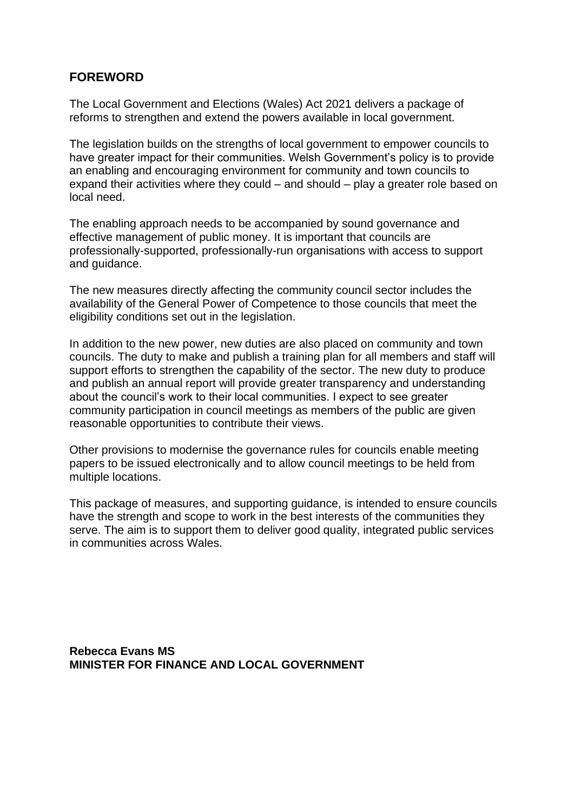### **FOREWORD**

The Local Government and Elections (Wales) Act 2021 delivers a package of reforms to strengthen and extend the powers available in local government.

The legislation builds on the strengths of local government to empower councils to have greater impact for their communities. Welsh Government's policy is to provide an enabling and encouraging environment for community and town councils to expand their activities where they could – and should – play a greater role based on local need.

The enabling approach needs to be accompanied by sound governance and effective management of public money. It is important that councils are professionally-supported, professionally-run organisations with access to support and guidance.

The new measures directly affecting the community council sector includes the availability of the General Power of Competence to those councils that meet the eligibility conditions set out in the legislation.

In addition to the new power, new duties are also placed on community and town councils. The duty to make and publish a training plan for all members and staff will support efforts to strengthen the capability of the sector. The new duty to produce and publish an annual report will provide greater transparency and understanding about the council's work to their local communities. I expect to see greater community participation in council meetings as members of the public are given reasonable opportunities to contribute their views.

Other provisions to modernise the governance rules for councils enable meeting papers to be issued electronically and to allow council meetings to be held from multiple locations.

This package of measures, and supporting guidance, is intended to ensure councils have the strength and scope to work in the best interests of the communities they serve. The aim is to support them to deliver good quality, integrated public services in communities across Wales.

**Rebecca Evans MS MINISTER FOR FINANCE AND LOCAL GOVERNMENT**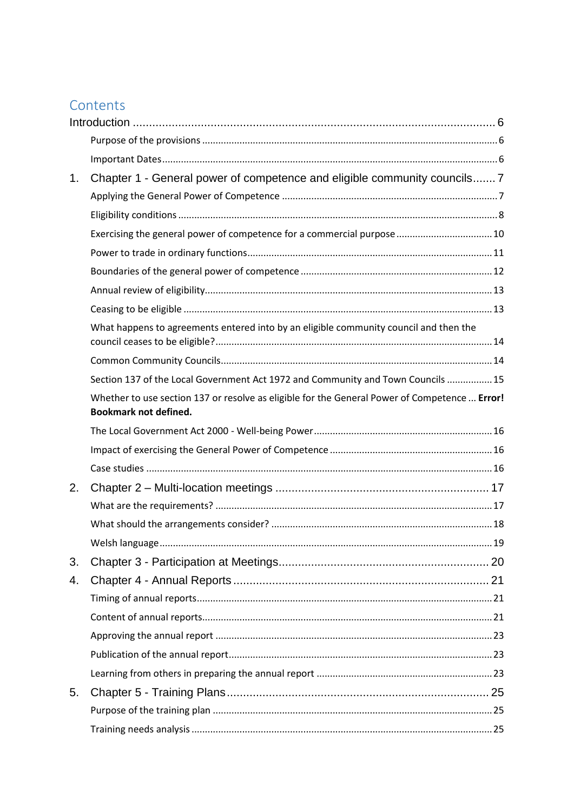## Contents

| 1. | Chapter 1 - General power of competence and eligible community councils 7                                                     |  |  |  |  |  |  |  |  |
|----|-------------------------------------------------------------------------------------------------------------------------------|--|--|--|--|--|--|--|--|
|    |                                                                                                                               |  |  |  |  |  |  |  |  |
|    |                                                                                                                               |  |  |  |  |  |  |  |  |
|    | Exercising the general power of competence for a commercial purpose  10                                                       |  |  |  |  |  |  |  |  |
|    |                                                                                                                               |  |  |  |  |  |  |  |  |
|    |                                                                                                                               |  |  |  |  |  |  |  |  |
|    |                                                                                                                               |  |  |  |  |  |  |  |  |
|    |                                                                                                                               |  |  |  |  |  |  |  |  |
|    | What happens to agreements entered into by an eligible community council and then the                                         |  |  |  |  |  |  |  |  |
|    |                                                                                                                               |  |  |  |  |  |  |  |  |
|    |                                                                                                                               |  |  |  |  |  |  |  |  |
|    | Section 137 of the Local Government Act 1972 and Community and Town Councils  15                                              |  |  |  |  |  |  |  |  |
|    | Whether to use section 137 or resolve as eligible for the General Power of Competence  Error!<br><b>Bookmark not defined.</b> |  |  |  |  |  |  |  |  |
|    |                                                                                                                               |  |  |  |  |  |  |  |  |
|    |                                                                                                                               |  |  |  |  |  |  |  |  |
|    |                                                                                                                               |  |  |  |  |  |  |  |  |
| 2. |                                                                                                                               |  |  |  |  |  |  |  |  |
|    |                                                                                                                               |  |  |  |  |  |  |  |  |
|    |                                                                                                                               |  |  |  |  |  |  |  |  |
|    |                                                                                                                               |  |  |  |  |  |  |  |  |
| 3. |                                                                                                                               |  |  |  |  |  |  |  |  |
| 4. |                                                                                                                               |  |  |  |  |  |  |  |  |
|    |                                                                                                                               |  |  |  |  |  |  |  |  |
|    |                                                                                                                               |  |  |  |  |  |  |  |  |
|    |                                                                                                                               |  |  |  |  |  |  |  |  |
|    |                                                                                                                               |  |  |  |  |  |  |  |  |
|    |                                                                                                                               |  |  |  |  |  |  |  |  |
| 5. |                                                                                                                               |  |  |  |  |  |  |  |  |
|    |                                                                                                                               |  |  |  |  |  |  |  |  |
|    |                                                                                                                               |  |  |  |  |  |  |  |  |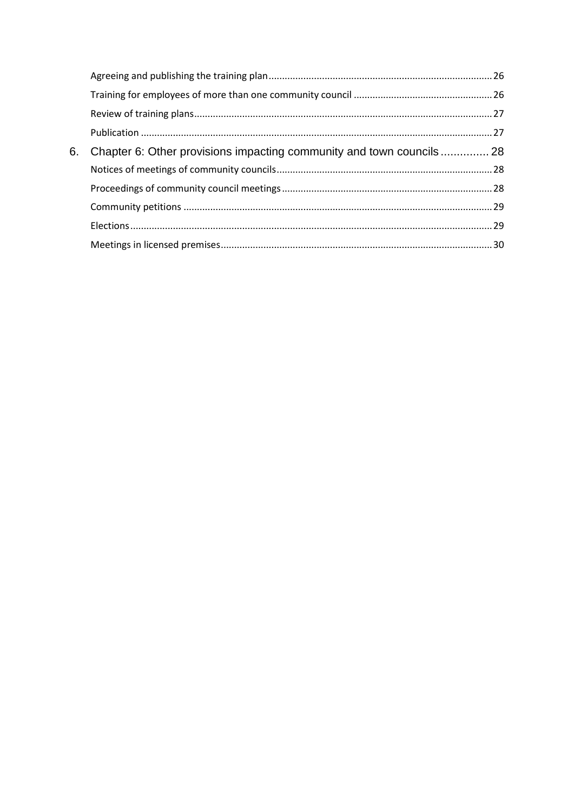| 6. | Chapter 6: Other provisions impacting community and town councils 28 |  |  |  |  |  |  |  |
|----|----------------------------------------------------------------------|--|--|--|--|--|--|--|
|    |                                                                      |  |  |  |  |  |  |  |
|    |                                                                      |  |  |  |  |  |  |  |
|    |                                                                      |  |  |  |  |  |  |  |
|    |                                                                      |  |  |  |  |  |  |  |
|    |                                                                      |  |  |  |  |  |  |  |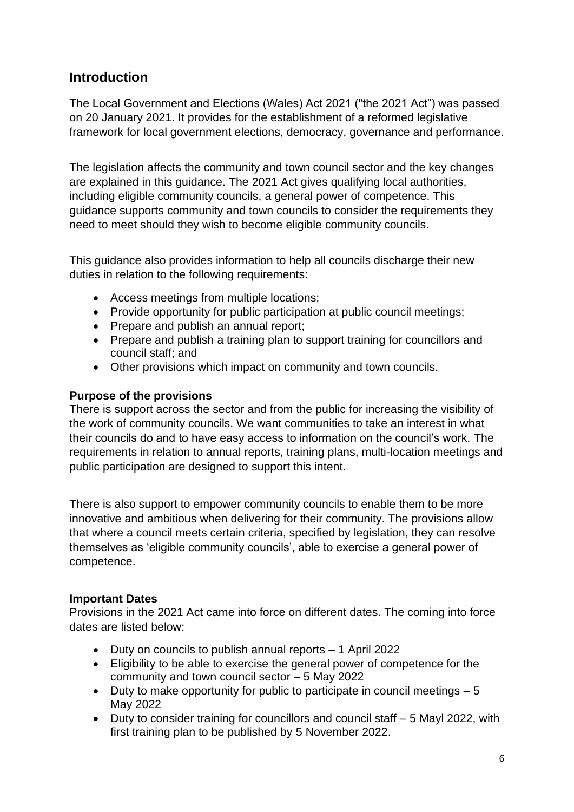### <span id="page-5-0"></span>**Introduction**

The Local Government and Elections (Wales) Act 2021 ("the 2021 Act") was passed on 20 January 2021. It provides for the establishment of a reformed legislative framework for local government elections, democracy, governance and performance.

The legislation affects the community and town council sector and the key changes are explained in this guidance. The 2021 Act gives qualifying local authorities, including eligible community councils, a general power of competence. This guidance supports community and town councils to consider the requirements they need to meet should they wish to become eligible community councils.

This guidance also provides information to help all councils discharge their new duties in relation to the following requirements:

- Access meetings from multiple locations;
- Provide opportunity for public participation at public council meetings;
- Prepare and publish an annual report;
- Prepare and publish a training plan to support training for councillors and council staff; and
- Other provisions which impact on community and town councils.

### <span id="page-5-1"></span>**Purpose of the provisions**

There is support across the sector and from the public for increasing the visibility of the work of community councils. We want communities to take an interest in what their councils do and to have easy access to information on the council's work. The requirements in relation to annual reports, training plans, multi-location meetings and public participation are designed to support this intent.

There is also support to empower community councils to enable them to be more innovative and ambitious when delivering for their community. The provisions allow that where a council meets certain criteria, specified by legislation, they can resolve themselves as 'eligible community councils', able to exercise a general power of competence.

### <span id="page-5-2"></span>**Important Dates**

Provisions in the 2021 Act came into force on different dates. The coming into force dates are listed below:

- Duty on councils to publish annual reports 1 April 2022
- Eligibility to be able to exercise the general power of competence for the community and town council sector – 5 May 2022
- Duty to make opportunity for public to participate in council meetings  $-5$ May 2022
- Duty to consider training for councillors and council staff 5 Mayl 2022, with first training plan to be published by 5 November 2022.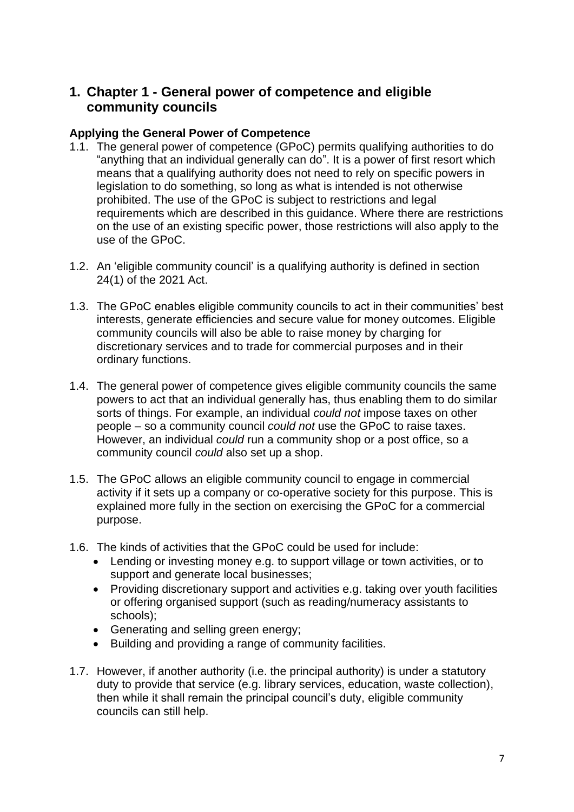### <span id="page-6-0"></span>**1. Chapter 1 - General power of competence and eligible community councils**

### <span id="page-6-1"></span>**Applying the General Power of Competence**

- 1.1. The general power of competence (GPoC) permits qualifying authorities to do "anything that an individual generally can do". It is a power of first resort which means that a qualifying authority does not need to rely on specific powers in legislation to do something, so long as what is intended is not otherwise prohibited. The use of the GPoC is subject to restrictions and legal requirements which are described in this guidance. Where there are restrictions on the use of an existing specific power, those restrictions will also apply to the use of the GPoC.
- 1.2. An 'eligible community council' is a qualifying authority is defined in section 24(1) of the 2021 Act.
- 1.3. The GPoC enables eligible community councils to act in their communities' best interests, generate efficiencies and secure value for money outcomes. Eligible community councils will also be able to raise money by charging for discretionary services and to trade for commercial purposes and in their ordinary functions.
- 1.4. The general power of competence gives eligible community councils the same powers to act that an individual generally has, thus enabling them to do similar sorts of things. For example, an individual *could not* impose taxes on other people – so a community council *could not* use the GPoC to raise taxes. However, an individual *could* run a community shop or a post office, so a community council *could* also set up a shop.
- 1.5. The GPoC allows an eligible community council to engage in commercial activity if it sets up a company or co-operative society for this purpose. This is explained more fully in the section on exercising the GPoC for a commercial purpose.
- 1.6. The kinds of activities that the GPoC could be used for include:
	- Lending or investing money e.g. to support village or town activities, or to support and generate local businesses;
	- Providing discretionary support and activities e.g. taking over youth facilities or offering organised support (such as reading/numeracy assistants to schools);
	- Generating and selling green energy;
	- Building and providing a range of community facilities.
- 1.7. However, if another authority (i.e. the principal authority) is under a statutory duty to provide that service (e.g. library services, education, waste collection), then while it shall remain the principal council's duty, eligible community councils can still help.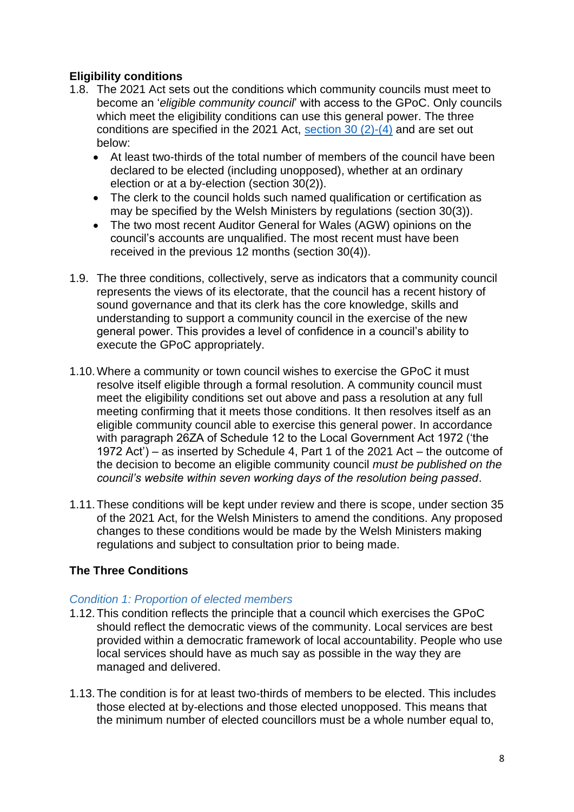### <span id="page-7-0"></span>**Eligibility conditions**

- 1.8. The 2021 Act sets out the conditions which community councils must meet to become an '*eligible community council*' with access to the GPoC. Only councils which meet the eligibility conditions can use this general power. The three conditions are specified in the 2021 Act, [section 30 \(2\)-\(4\)](https://www.legislation.gov.uk/asc/2021/1/part/2/chapter/2/enacted) and are set out below:
	- At least two-thirds of the total number of members of the council have been declared to be elected (including unopposed), whether at an ordinary election or at a by-election (section 30(2)).
	- The clerk to the council holds such named qualification or certification as may be specified by the Welsh Ministers by regulations (section 30(3)).
	- The two most recent Auditor General for Wales (AGW) opinions on the council's accounts are unqualified. The most recent must have been received in the previous 12 months (section 30(4)).
- 1.9. The three conditions, collectively, serve as indicators that a community council represents the views of its electorate, that the council has a recent history of sound governance and that its clerk has the core knowledge, skills and understanding to support a community council in the exercise of the new general power. This provides a level of confidence in a council's ability to execute the GPoC appropriately.
- 1.10.Where a community or town council wishes to exercise the GPoC it must resolve itself eligible through a formal resolution. A community council must meet the eligibility conditions set out above and pass a resolution at any full meeting confirming that it meets those conditions. It then resolves itself as an eligible community council able to exercise this general power. In accordance with paragraph 26ZA of Schedule 12 to the Local Government Act 1972 ('the 1972 Act') – as inserted by Schedule 4, Part 1 of the 2021 Act – the outcome of the decision to become an eligible community council *must be published on the council's website within seven working days of the resolution being passed*.
- 1.11.These conditions will be kept under review and there is scope, under section 35 of the 2021 Act, for the Welsh Ministers to amend the conditions. Any proposed changes to these conditions would be made by the Welsh Ministers making regulations and subject to consultation prior to being made.

### **The Three Conditions**

### *Condition 1: Proportion of elected members*

- 1.12.This condition reflects the principle that a council which exercises the GPoC should reflect the democratic views of the community. Local services are best provided within a democratic framework of local accountability. People who use local services should have as much say as possible in the way they are managed and delivered.
- 1.13.The condition is for at least two-thirds of members to be elected. This includes those elected at by-elections and those elected unopposed. This means that the minimum number of elected councillors must be a whole number equal to,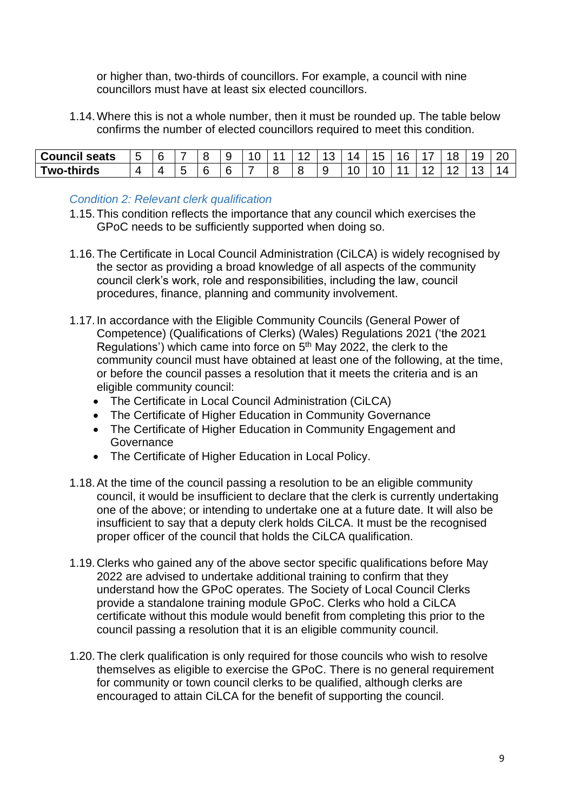or higher than, two-thirds of councillors. For example, a council with nine councillors must have at least six elected councillors.

1.14.Where this is not a whole number, then it must be rounded up. The table below confirms the number of elected councillors required to meet this condition.

| <b>Council seats</b> | . .<br>-   |  |   |  | - | ▃ |  |  | u |   |
|----------------------|------------|--|---|--|---|---|--|--|---|---|
| Two-thirds           | $\sqrt{ }$ |  | L |  |   |   |  |  |   | - |

### *Condition 2: Relevant clerk qualification*

- 1.15.This condition reflects the importance that any council which exercises the GPoC needs to be sufficiently supported when doing so.
- 1.16.The Certificate in Local Council Administration (CiLCA) is widely recognised by the sector as providing a broad knowledge of all aspects of the community council clerk's work, role and responsibilities, including the law, council procedures, finance, planning and community involvement.
- 1.17.In accordance with the Eligible Community Councils (General Power of Competence) (Qualifications of Clerks) (Wales) Regulations 2021 ('the 2021 Regulations') which came into force on  $5<sup>th</sup>$  May 2022, the clerk to the community council must have obtained at least one of the following, at the time, or before the council passes a resolution that it meets the criteria and is an eligible community council:
	- The Certificate in Local Council Administration (CiLCA)
	- The Certificate of Higher Education in Community Governance
	- The Certificate of Higher Education in Community Engagement and **Governance**
	- The Certificate of Higher Education in Local Policy.
- 1.18.At the time of the council passing a resolution to be an eligible community council, it would be insufficient to declare that the clerk is currently undertaking one of the above; or intending to undertake one at a future date. It will also be insufficient to say that a deputy clerk holds CiLCA. It must be the recognised proper officer of the council that holds the CiLCA qualification.
- 1.19.Clerks who gained any of the above sector specific qualifications before May 2022 are advised to undertake additional training to confirm that they understand how the GPoC operates. The Society of Local Council Clerks provide a standalone training module GPoC. Clerks who hold a CiLCA certificate without this module would benefit from completing this prior to the council passing a resolution that it is an eligible community council.
- 1.20.The clerk qualification is only required for those councils who wish to resolve themselves as eligible to exercise the GPoC. There is no general requirement for community or town council clerks to be qualified, although clerks are encouraged to attain CiLCA for the benefit of supporting the council.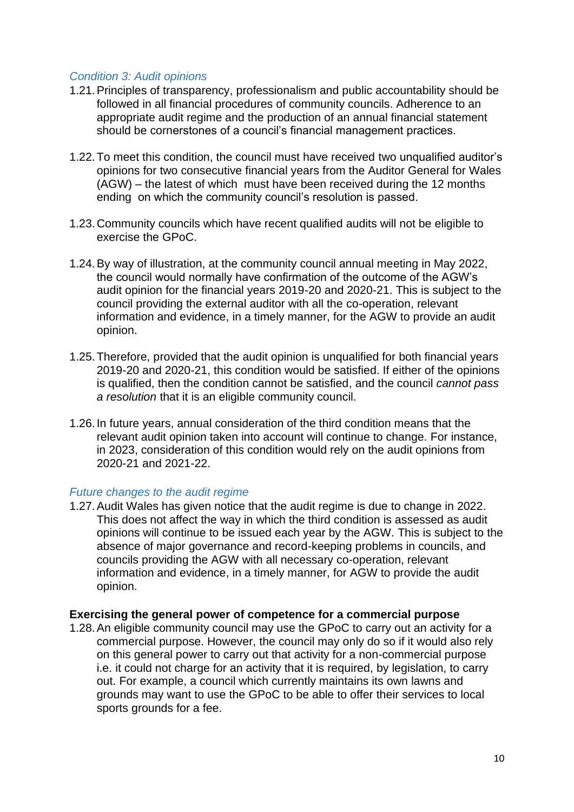### *Condition 3: Audit opinions*

- 1.21.Principles of transparency, professionalism and public accountability should be followed in all financial procedures of community councils. Adherence to an appropriate audit regime and the production of an annual financial statement should be cornerstones of a council's financial management practices.
- 1.22.To meet this condition, the council must have received two unqualified auditor's opinions for two consecutive financial years from the Auditor General for Wales (AGW) – the latest of which must have been received during the 12 months ending on which the community council's resolution is passed.
- 1.23.Community councils which have recent qualified audits will not be eligible to exercise the GPoC.
- 1.24.By way of illustration, at the community council annual meeting in May 2022, the council would normally have confirmation of the outcome of the AGW's audit opinion for the financial years 2019-20 and 2020-21. This is subject to the council providing the external auditor with all the co-operation, relevant information and evidence, in a timely manner, for the AGW to provide an audit opinion.
- 1.25.Therefore, provided that the audit opinion is unqualified for both financial years 2019-20 and 2020-21, this condition would be satisfied. If either of the opinions is qualified, then the condition cannot be satisfied, and the council *cannot pass a resolution* that it is an eligible community council.
- 1.26.In future years, annual consideration of the third condition means that the relevant audit opinion taken into account will continue to change. For instance, in 2023, consideration of this condition would rely on the audit opinions from 2020-21 and 2021-22.

#### *Future changes to the audit regime*

1.27.Audit Wales has given notice that the audit regime is due to change in 2022. This does not affect the way in which the third condition is assessed as audit opinions will continue to be issued each year by the AGW. This is subject to the absence of major governance and record-keeping problems in councils, and councils providing the AGW with all necessary co-operation, relevant information and evidence, in a timely manner, for AGW to provide the audit opinion.

### <span id="page-9-0"></span>**Exercising the general power of competence for a commercial purpose**

1.28.An eligible community council may use the GPoC to carry out an activity for a commercial purpose. However, the council may only do so if it would also rely on this general power to carry out that activity for a non-commercial purpose i.e. it could not charge for an activity that it is required, by legislation, to carry out. For example, a council which currently maintains its own lawns and grounds may want to use the GPoC to be able to offer their services to local sports grounds for a fee.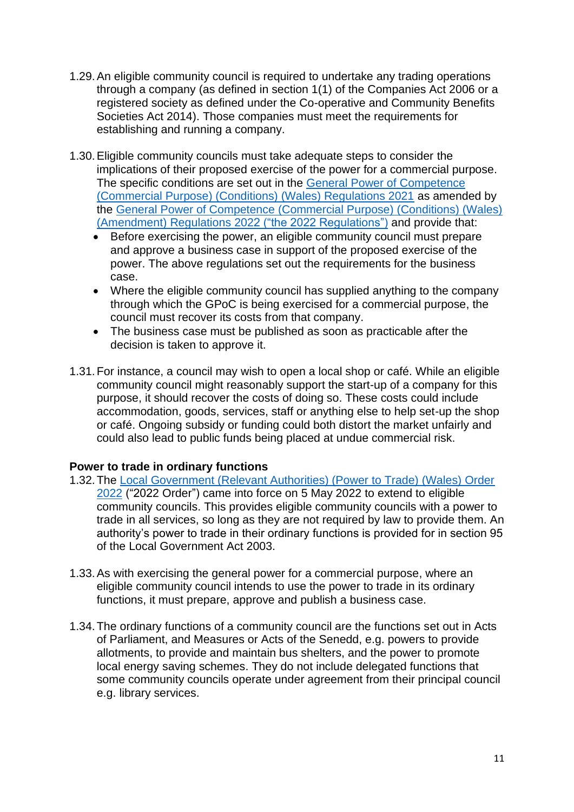- 1.29.An eligible community council is required to undertake any trading operations through a company (as defined in section 1(1) of the Companies Act 2006 or a registered society as defined under the Co-operative and Community Benefits Societies Act 2014). Those companies must meet the requirements for establishing and running a company.
- 1.30.Eligible community councils must take adequate steps to consider the implications of their proposed exercise of the power for a commercial purpose. The specific conditions are set out in the [General Power of Competence](https://www.legislation.gov.uk/wsi/2021/1166/contents)  [\(Commercial Purpose\) \(Conditions\) \(Wales\) Regulations 2021](https://www.legislation.gov.uk/wsi/2021/1166/contents) as amended by the [General Power of Competence \(Commercial Purpose\) \(Conditions\) \(Wales\)](https://www.legislation.gov.uk/wsi/2022/423/contents/made)  [\(Amendment\) Regulations 2022 \("the 2022 Regulations"\)](https://www.legislation.gov.uk/wsi/2022/423/contents/made) and provide that:
	- Before exercising the power, an eligible community council must prepare and approve a business case in support of the proposed exercise of the power. The above regulations set out the requirements for the business case.
	- Where the eligible community council has supplied anything to the company through which the GPoC is being exercised for a commercial purpose, the council must recover its costs from that company.
	- The business case must be published as soon as practicable after the decision is taken to approve it.
- 1.31.For instance, a council may wish to open a local shop or café. While an eligible community council might reasonably support the start-up of a company for this purpose, it should recover the costs of doing so. These costs could include accommodation, goods, services, staff or anything else to help set-up the shop or café. Ongoing subsidy or funding could both distort the market unfairly and could also lead to public funds being placed at undue commercial risk.

### <span id="page-10-0"></span>**Power to trade in ordinary functions**

- 1.32.The [Local Government \(Relevant Authorities\) \(Power to Trade\) \(Wales\) Order](https://www.legislation.gov.uk/wsi/2022/424/made)  [2022](https://www.legislation.gov.uk/wsi/2022/424/made) ("2022 Order") came into force on 5 May 2022 to extend to eligible community councils. This provides eligible community councils with a power to trade in all services, so long as they are not required by law to provide them. An authority's power to trade in their ordinary functions is provided for in section 95 of the Local Government Act 2003.
- 1.33.As with exercising the general power for a commercial purpose, where an eligible community council intends to use the power to trade in its ordinary functions, it must prepare, approve and publish a business case.
- 1.34.The ordinary functions of a community council are the functions set out in Acts of Parliament, and Measures or Acts of the Senedd, e.g. powers to provide allotments, to provide and maintain bus shelters, and the power to promote local energy saving schemes. They do not include delegated functions that some community councils operate under agreement from their principal council e.g. library services.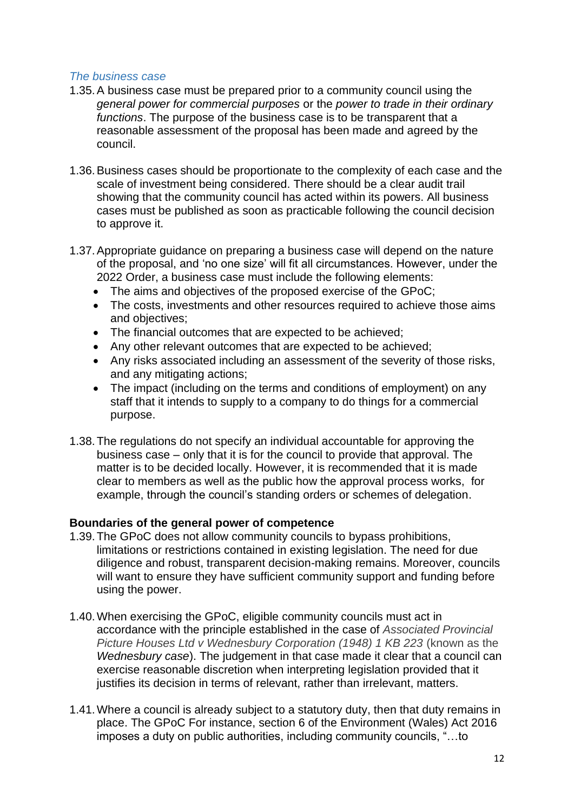### *The business case*

- 1.35.A business case must be prepared prior to a community council using the *general power for commercial purposes* or the *power to trade in their ordinary functions*. The purpose of the business case is to be transparent that a reasonable assessment of the proposal has been made and agreed by the council.
- 1.36.Business cases should be proportionate to the complexity of each case and the scale of investment being considered. There should be a clear audit trail showing that the community council has acted within its powers. All business cases must be published as soon as practicable following the council decision to approve it.
- 1.37.Appropriate guidance on preparing a business case will depend on the nature of the proposal, and 'no one size' will fit all circumstances. However, under the 2022 Order, a business case must include the following elements:
	- The aims and objectives of the proposed exercise of the GPoC;
	- The costs, investments and other resources required to achieve those aims and objectives;
	- The financial outcomes that are expected to be achieved;
	- Any other relevant outcomes that are expected to be achieved;
	- Any risks associated including an assessment of the severity of those risks, and any mitigating actions;
	- The impact (including on the terms and conditions of employment) on any staff that it intends to supply to a company to do things for a commercial purpose.
- 1.38.The regulations do not specify an individual accountable for approving the business case – only that it is for the council to provide that approval. The matter is to be decided locally. However, it is recommended that it is made clear to members as well as the public how the approval process works, for example, through the council's standing orders or schemes of delegation.

### <span id="page-11-0"></span>**Boundaries of the general power of competence**

- 1.39.The GPoC does not allow community councils to bypass prohibitions, limitations or restrictions contained in existing legislation. The need for due diligence and robust, transparent decision-making remains. Moreover, councils will want to ensure they have sufficient community support and funding before using the power.
- 1.40.When exercising the GPoC, eligible community councils must act in accordance with the principle established in the case of *Associated Provincial Picture Houses Ltd v Wednesbury Corporation (1948) 1 KB 223* (known as the *Wednesbury case*). The judgement in that case made it clear that a council can exercise reasonable discretion when interpreting legislation provided that it justifies its decision in terms of relevant, rather than irrelevant, matters.
- 1.41.Where a council is already subject to a statutory duty, then that duty remains in place. The GPoC For instance, section 6 of the Environment (Wales) Act 2016 imposes a duty on public authorities, including community councils, "…to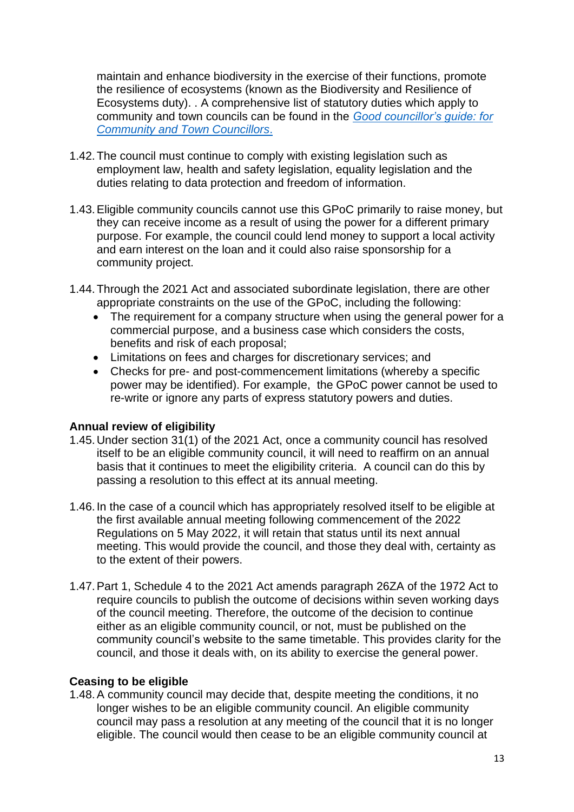maintain and enhance biodiversity in the exercise of their functions, promote the resilience of ecosystems (known as the Biodiversity and Resilience of Ecosystems duty). . A comprehensive list of statutory duties which apply to community and town councils can be found in the *[Good councillor's guide: for](https://gov.wales/good-councillors-guide-community-and-town-councillors)  [Community and Town Councillors](https://gov.wales/good-councillors-guide-community-and-town-councillors)*.

- 1.42.The council must continue to comply with existing legislation such as employment law, health and safety legislation, equality legislation and the duties relating to data protection and freedom of information.
- 1.43.Eligible community councils cannot use this GPoC primarily to raise money, but they can receive income as a result of using the power for a different primary purpose. For example, the council could lend money to support a local activity and earn interest on the loan and it could also raise sponsorship for a community project.
- 1.44.Through the 2021 Act and associated subordinate legislation, there are other appropriate constraints on the use of the GPoC, including the following:
	- The requirement for a company structure when using the general power for a commercial purpose, and a business case which considers the costs, benefits and risk of each proposal;
	- Limitations on fees and charges for discretionary services; and
	- Checks for pre- and post-commencement limitations (whereby a specific power may be identified). For example, the GPoC power cannot be used to re-write or ignore any parts of express statutory powers and duties.

### <span id="page-12-0"></span>**Annual review of eligibility**

- 1.45.Under section 31(1) of the 2021 Act, once a community council has resolved itself to be an eligible community council, it will need to reaffirm on an annual basis that it continues to meet the eligibility criteria. A council can do this by passing a resolution to this effect at its annual meeting.
- 1.46.In the case of a council which has appropriately resolved itself to be eligible at the first available annual meeting following commencement of the 2022 Regulations on 5 May 2022, it will retain that status until its next annual meeting. This would provide the council, and those they deal with, certainty as to the extent of their powers.
- 1.47.Part 1, Schedule 4 to the 2021 Act amends paragraph 26ZA of the 1972 Act to require councils to publish the outcome of decisions within seven working days of the council meeting. Therefore, the outcome of the decision to continue either as an eligible community council, or not, must be published on the community council's website to the same timetable. This provides clarity for the council, and those it deals with, on its ability to exercise the general power.

### <span id="page-12-1"></span>**Ceasing to be eligible**

1.48.A community council may decide that, despite meeting the conditions, it no longer wishes to be an eligible community council. An eligible community council may pass a resolution at any meeting of the council that it is no longer eligible. The council would then cease to be an eligible community council at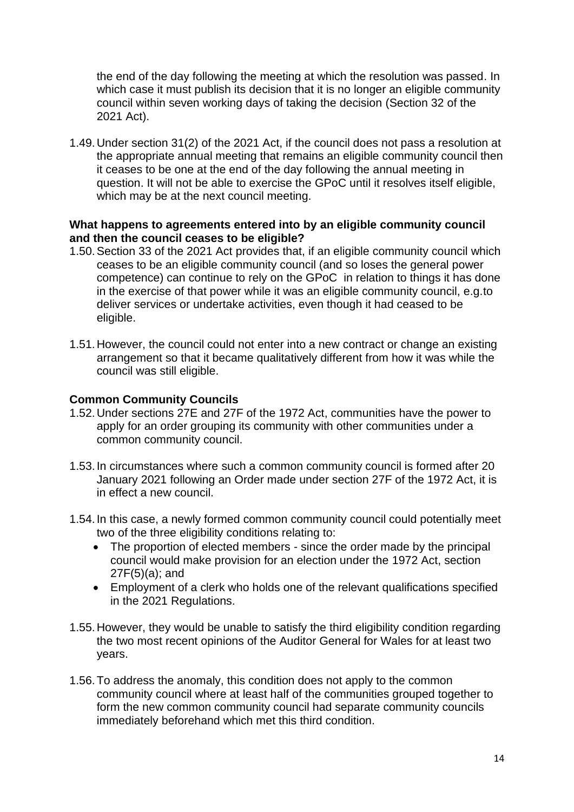the end of the day following the meeting at which the resolution was passed. In which case it must publish its decision that it is no longer an eligible community council within seven working days of taking the decision (Section 32 of the 2021 Act).

1.49.Under section 31(2) of the 2021 Act, if the council does not pass a resolution at the appropriate annual meeting that remains an eligible community council then it ceases to be one at the end of the day following the annual meeting in question. It will not be able to exercise the GPoC until it resolves itself eligible, which may be at the next council meeting.

### <span id="page-13-0"></span>**What happens to agreements entered into by an eligible community council and then the council ceases to be eligible?**

- 1.50.Section 33 of the 2021 Act provides that, if an eligible community council which ceases to be an eligible community council (and so loses the general power competence) can continue to rely on the GPoC in relation to things it has done in the exercise of that power while it was an eligible community council, e.g.to deliver services or undertake activities, even though it had ceased to be eligible.
- 1.51.However, the council could not enter into a new contract or change an existing arrangement so that it became qualitatively different from how it was while the council was still eligible.

### <span id="page-13-1"></span>**Common Community Councils**

- 1.52.Under sections 27E and 27F of the 1972 Act, communities have the power to apply for an order grouping its community with other communities under a common community council.
- 1.53.In circumstances where such a common community council is formed after 20 January 2021 following an Order made under section 27F of the 1972 Act, it is in effect a new council.
- 1.54.In this case, a newly formed common community council could potentially meet two of the three eligibility conditions relating to:
	- The proportion of elected members since the order made by the principal council would make provision for an election under the 1972 Act, section 27F(5)(a); and
	- Employment of a clerk who holds one of the relevant qualifications specified in the 2021 Regulations.
- 1.55.However, they would be unable to satisfy the third eligibility condition regarding the two most recent opinions of the Auditor General for Wales for at least two years.
- 1.56.To address the anomaly, this condition does not apply to the common community council where at least half of the communities grouped together to form the new common community council had separate community councils immediately beforehand which met this third condition.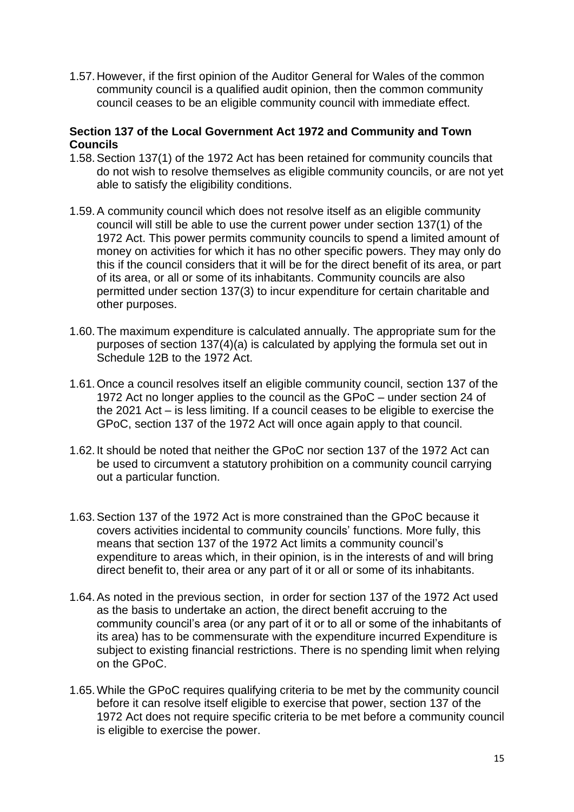1.57.However, if the first opinion of the Auditor General for Wales of the common community council is a qualified audit opinion, then the common community council ceases to be an eligible community council with immediate effect.

### <span id="page-14-0"></span>**Section 137 of the Local Government Act 1972 and Community and Town Councils**

- 1.58.Section 137(1) of the 1972 Act has been retained for community councils that do not wish to resolve themselves as eligible community councils, or are not yet able to satisfy the eligibility conditions.
- 1.59.A community council which does not resolve itself as an eligible community council will still be able to use the current power under section 137(1) of the 1972 Act. This power permits community councils to spend a limited amount of money on activities for which it has no other specific powers. They may only do this if the council considers that it will be for the direct benefit of its area, or part of its area, or all or some of its inhabitants. Community councils are also permitted under section 137(3) to incur expenditure for certain charitable and other purposes.
- 1.60.The maximum expenditure is calculated annually. The appropriate sum for the purposes of section 137(4)(a) is calculated by applying the formula set out in Schedule 12B to the 1972 Act.
- 1.61.Once a council resolves itself an eligible community council, section 137 of the 1972 Act no longer applies to the council as the GPoC – under section 24 of the 2021 Act – is less limiting. If a council ceases to be eligible to exercise the GPoC, section 137 of the 1972 Act will once again apply to that council.
- 1.62.It should be noted that neither the GPoC nor section 137 of the 1972 Act can be used to circumvent a statutory prohibition on a community council carrying out a particular function.
- 1.63.Section 137 of the 1972 Act is more constrained than the GPoC because it covers activities incidental to community councils' functions. More fully, this means that section 137 of the 1972 Act limits a community council's expenditure to areas which, in their opinion, is in the interests of and will bring direct benefit to, their area or any part of it or all or some of its inhabitants.
- 1.64.As noted in the previous section, in order for section 137 of the 1972 Act used as the basis to undertake an action, the direct benefit accruing to the community council's area (or any part of it or to all or some of the inhabitants of its area) has to be commensurate with the expenditure incurred Expenditure is subject to existing financial restrictions. There is no spending limit when relying on the GPoC.
- 1.65.While the GPoC requires qualifying criteria to be met by the community council before it can resolve itself eligible to exercise that power, section 137 of the 1972 Act does not require specific criteria to be met before a community council is eligible to exercise the power.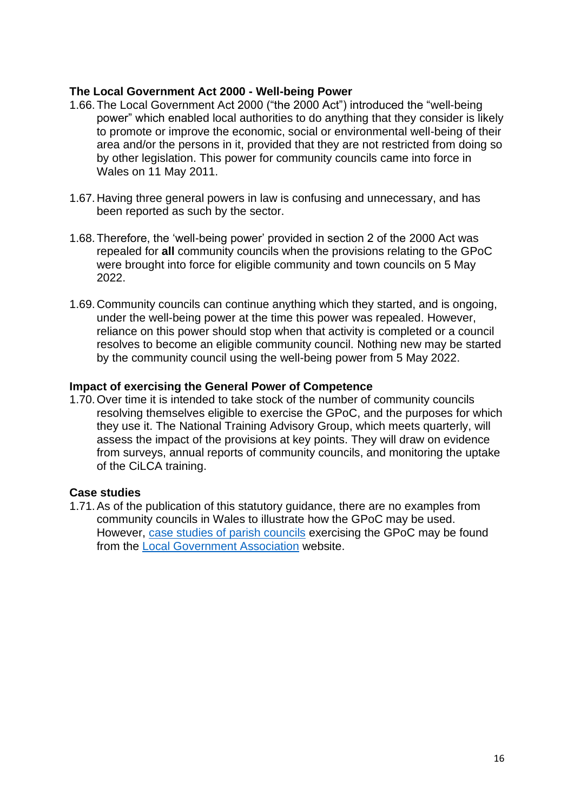### <span id="page-15-0"></span>**The Local Government Act 2000 - Well-being Power**

- 1.66.The Local Government Act 2000 ("the 2000 Act") introduced the "well-being power" which enabled local authorities to do anything that they consider is likely to promote or improve the economic, social or environmental well-being of their area and/or the persons in it, provided that they are not restricted from doing so by other legislation. This power for community councils came into force in Wales on 11 May 2011.
- 1.67.Having three general powers in law is confusing and unnecessary, and has been reported as such by the sector.
- 1.68.Therefore, the 'well-being power' provided in section 2 of the 2000 Act was repealed for **all** community councils when the provisions relating to the GPoC were brought into force for eligible community and town councils on 5 May 2022.
- 1.69.Community councils can continue anything which they started, and is ongoing, under the well-being power at the time this power was repealed. However, reliance on this power should stop when that activity is completed or a council resolves to become an eligible community council. Nothing new may be started by the community council using the well-being power from 5 May 2022.

### <span id="page-15-1"></span>**Impact of exercising the General Power of Competence**

1.70.Over time it is intended to take stock of the number of community councils resolving themselves eligible to exercise the GPoC, and the purposes for which they use it. The National Training Advisory Group, which meets quarterly, will assess the impact of the provisions at key points. They will draw on evidence from surveys, annual reports of community councils, and monitoring the uptake of the CiLCA training.

### <span id="page-15-2"></span>**Case studies**

1.71.As of the publication of this statutory guidance, there are no examples from community councils in Wales to illustrate how the GPoC may be used. However, [case studies of parish councils](https://www.lalc.co.uk/wp-content/uploads/2012/07/Fact-sheet-General-Power-of-Competence.pdf) exercising the GPoC may be found from the [Local Government Association](https://www.local.gov.uk/sites/default/files/documents/general-power-competence--0ac.pdf) website.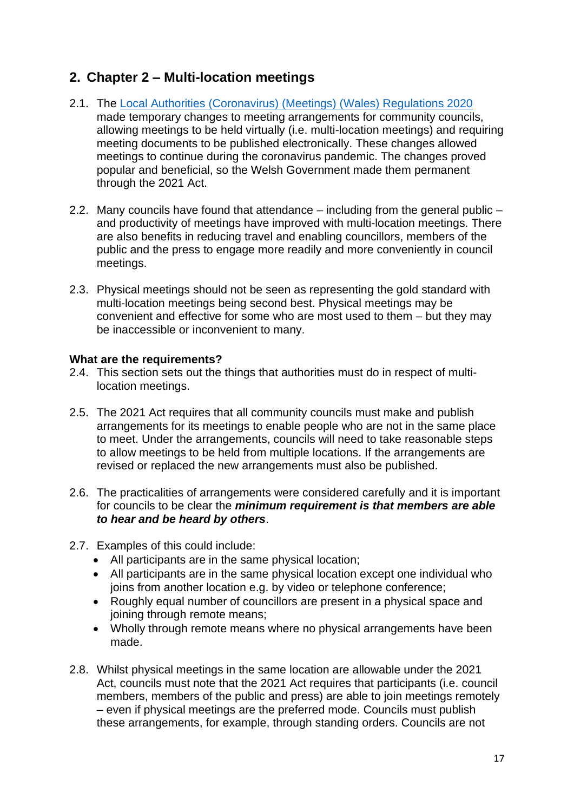### <span id="page-16-0"></span>**2. Chapter 2 – Multi-location meetings**

- 2.1. The [Local Authorities \(Coronavirus\) \(Meetings\) \(Wales\) Regulations 2020](https://www.legislation.gov.uk/wsi/2020/442/contents) made temporary changes to meeting arrangements for community councils, allowing meetings to be held virtually (i.e. multi-location meetings) and requiring meeting documents to be published electronically. These changes allowed meetings to continue during the coronavirus pandemic. The changes proved popular and beneficial, so the Welsh Government made them permanent through the 2021 Act.
- 2.2. Many councils have found that attendance including from the general public and productivity of meetings have improved with multi-location meetings. There are also benefits in reducing travel and enabling councillors, members of the public and the press to engage more readily and more conveniently in council meetings.
- 2.3. Physical meetings should not be seen as representing the gold standard with multi-location meetings being second best. Physical meetings may be convenient and effective for some who are most used to them – but they may be inaccessible or inconvenient to many.

### <span id="page-16-1"></span>**What are the requirements?**

- 2.4. This section sets out the things that authorities must do in respect of multilocation meetings.
- 2.5. The 2021 Act requires that all community councils must make and publish arrangements for its meetings to enable people who are not in the same place to meet. Under the arrangements, councils will need to take reasonable steps to allow meetings to be held from multiple locations. If the arrangements are revised or replaced the new arrangements must also be published.
- 2.6. The practicalities of arrangements were considered carefully and it is important for councils to be clear the *minimum requirement is that members are able to hear and be heard by others*.
- 2.7. Examples of this could include:
	- All participants are in the same physical location;
	- All participants are in the same physical location except one individual who joins from another location e.g. by video or telephone conference;
	- Roughly equal number of councillors are present in a physical space and joining through remote means;
	- Wholly through remote means where no physical arrangements have been made.
- 2.8. Whilst physical meetings in the same location are allowable under the 2021 Act, councils must note that the 2021 Act requires that participants (i.e. council members, members of the public and press) are able to join meetings remotely – even if physical meetings are the preferred mode. Councils must publish these arrangements, for example, through standing orders. Councils are not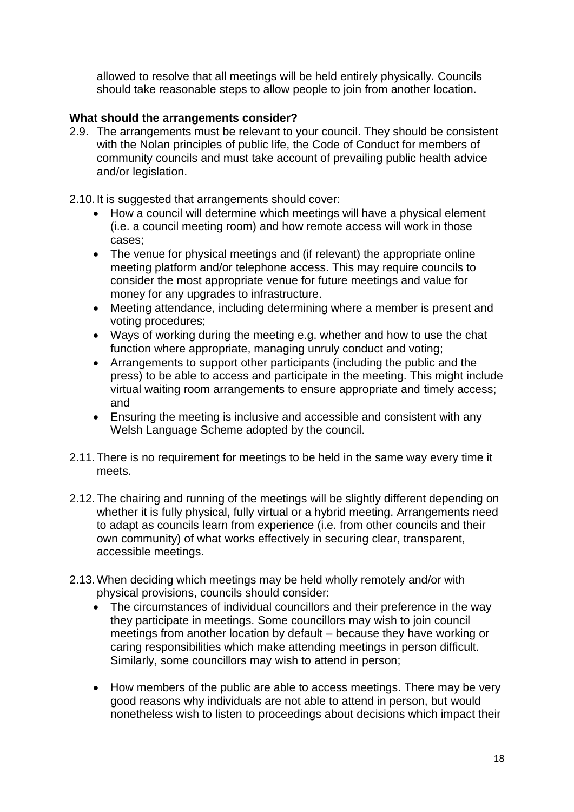allowed to resolve that all meetings will be held entirely physically. Councils should take reasonable steps to allow people to join from another location.

### <span id="page-17-0"></span>**What should the arrangements consider?**

- 2.9. The arrangements must be relevant to your council. They should be consistent with the Nolan principles of public life, the Code of Conduct for members of community councils and must take account of prevailing public health advice and/or legislation.
- 2.10.It is suggested that arrangements should cover:
	- How a council will determine which meetings will have a physical element (i.e. a council meeting room) and how remote access will work in those cases;
	- The venue for physical meetings and (if relevant) the appropriate online meeting platform and/or telephone access. This may require councils to consider the most appropriate venue for future meetings and value for money for any upgrades to infrastructure.
	- Meeting attendance, including determining where a member is present and voting procedures;
	- Ways of working during the meeting e.g. whether and how to use the chat function where appropriate, managing unruly conduct and voting;
	- Arrangements to support other participants (including the public and the press) to be able to access and participate in the meeting. This might include virtual waiting room arrangements to ensure appropriate and timely access; and
	- Ensuring the meeting is inclusive and accessible and consistent with any Welsh Language Scheme adopted by the council.
- 2.11.There is no requirement for meetings to be held in the same way every time it meets.
- 2.12.The chairing and running of the meetings will be slightly different depending on whether it is fully physical, fully virtual or a hybrid meeting. Arrangements need to adapt as councils learn from experience (i.e. from other councils and their own community) of what works effectively in securing clear, transparent, accessible meetings.
- 2.13.When deciding which meetings may be held wholly remotely and/or with physical provisions, councils should consider:
	- The circumstances of individual councillors and their preference in the way they participate in meetings. Some councillors may wish to join council meetings from another location by default – because they have working or caring responsibilities which make attending meetings in person difficult. Similarly, some councillors may wish to attend in person;
	- How members of the public are able to access meetings. There may be very good reasons why individuals are not able to attend in person, but would nonetheless wish to listen to proceedings about decisions which impact their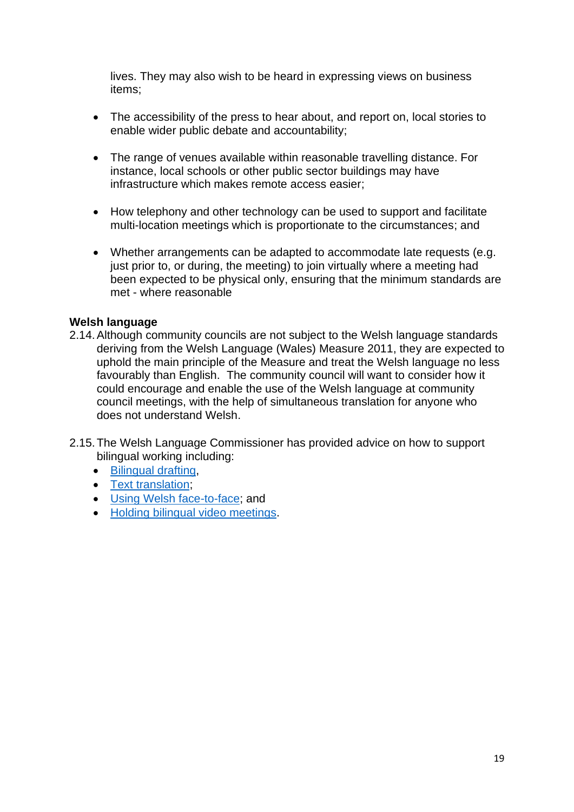lives. They may also wish to be heard in expressing views on business items;

- The accessibility of the press to hear about, and report on, local stories to enable wider public debate and accountability;
- The range of venues available within reasonable travelling distance. For instance, local schools or other public sector buildings may have infrastructure which makes remote access easier;
- How telephony and other technology can be used to support and facilitate multi-location meetings which is proportionate to the circumstances; and
- Whether arrangements can be adapted to accommodate late requests (e.g. just prior to, or during, the meeting) to join virtually where a meeting had been expected to be physical only, ensuring that the minimum standards are met - where reasonable

### <span id="page-18-0"></span>**Welsh language**

- 2.14.Although community councils are not subject to the Welsh language standards deriving from the Welsh Language (Wales) Measure 2011, they are expected to uphold the main principle of the Measure and treat the Welsh language no less favourably than English. The community council will want to consider how it could encourage and enable the use of the Welsh language at community council meetings, with the help of simultaneous translation for anyone who does not understand Welsh.
- 2.15.The Welsh Language Commissioner has provided advice on how to support bilingual working including:
	- [Bilingual drafting,](https://www.welshlanguagecommissioner.wales/media/kxbikkyz/part-1-bilingual-drafting.pdf)
	- [Text translation;](https://www.welshlanguagecommissioner.wales/media/s2upf2cb/part-2-text-translation.pdf)
	- [Using Welsh face-to-face;](https://www.welshlanguagecommissioner.wales/media/mlbn3umg/part-3-using-welsh-face-to-face.pdf) and
	- [Holding bilingual video meetings.](https://www.welshlanguagecommissioner.wales/media/f2wn1mwu/20200511-dg-s-bilingual-video-meetings.pdf)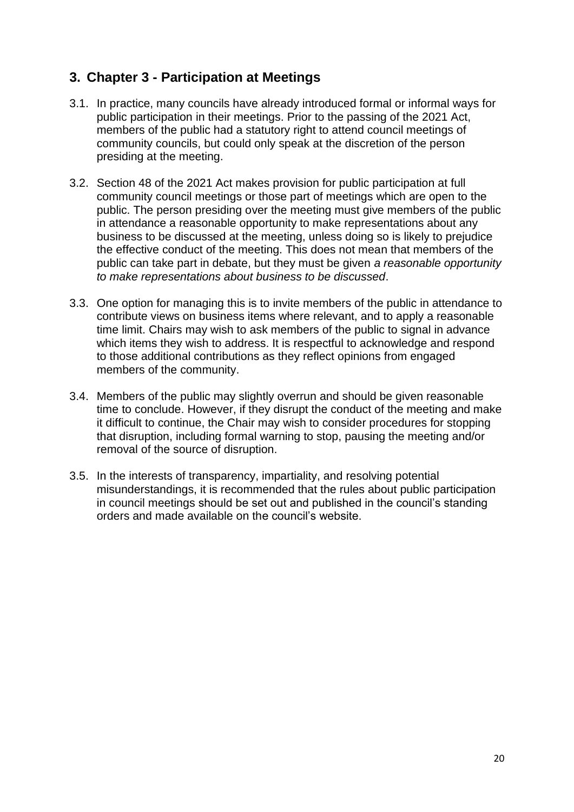### <span id="page-19-0"></span>**3. Chapter 3 - Participation at Meetings**

- 3.1. In practice, many councils have already introduced formal or informal ways for public participation in their meetings. Prior to the passing of the 2021 Act, members of the public had a statutory right to attend council meetings of community councils, but could only speak at the discretion of the person presiding at the meeting.
- 3.2. Section 48 of the 2021 Act makes provision for public participation at full community council meetings or those part of meetings which are open to the public. The person presiding over the meeting must give members of the public in attendance a reasonable opportunity to make representations about any business to be discussed at the meeting, unless doing so is likely to prejudice the effective conduct of the meeting. This does not mean that members of the public can take part in debate, but they must be given *a reasonable opportunity to make representations about business to be discussed*.
- 3.3. One option for managing this is to invite members of the public in attendance to contribute views on business items where relevant, and to apply a reasonable time limit. Chairs may wish to ask members of the public to signal in advance which items they wish to address. It is respectful to acknowledge and respond to those additional contributions as they reflect opinions from engaged members of the community.
- 3.4. Members of the public may slightly overrun and should be given reasonable time to conclude. However, if they disrupt the conduct of the meeting and make it difficult to continue, the Chair may wish to consider procedures for stopping that disruption, including formal warning to stop, pausing the meeting and/or removal of the source of disruption.
- 3.5. In the interests of transparency, impartiality, and resolving potential misunderstandings, it is recommended that the rules about public participation in council meetings should be set out and published in the council's standing orders and made available on the council's website.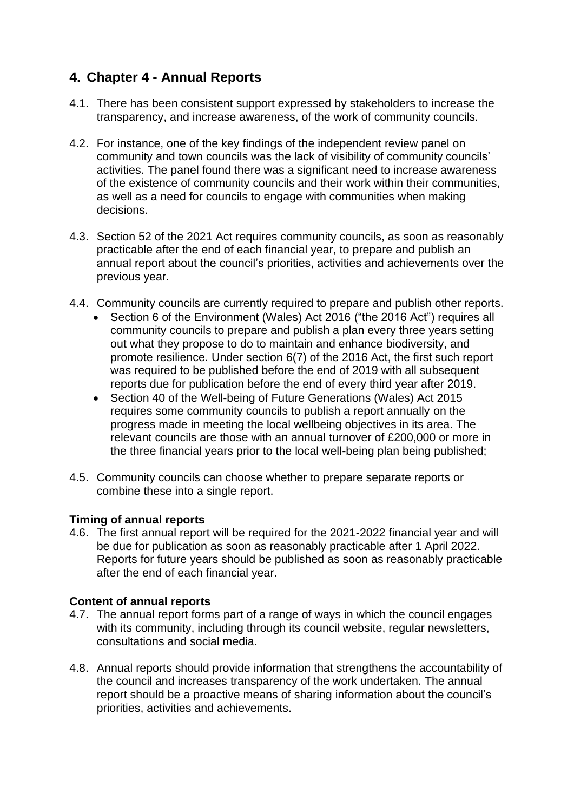### <span id="page-20-0"></span>**4. Chapter 4 - Annual Reports**

- 4.1. There has been consistent support expressed by stakeholders to increase the transparency, and increase awareness, of the work of community councils.
- 4.2. For instance, one of the key findings of the independent review panel on community and town councils was the lack of visibility of community councils' activities. The panel found there was a significant need to increase awareness of the existence of community councils and their work within their communities, as well as a need for councils to engage with communities when making decisions.
- 4.3. Section 52 of the 2021 Act requires community councils, as soon as reasonably practicable after the end of each financial year, to prepare and publish an annual report about the council's priorities, activities and achievements over the previous year.
- 4.4. Community councils are currently required to prepare and publish other reports.
	- Section 6 of the Environment (Wales) Act 2016 ("the 2016 Act") requires all community councils to prepare and publish a plan every three years setting out what they propose to do to maintain and enhance biodiversity, and promote resilience. Under section 6(7) of the 2016 Act, the first such report was required to be published before the end of 2019 with all subsequent reports due for publication before the end of every third year after 2019.
	- Section 40 of the Well-being of Future Generations (Wales) Act 2015 requires some community councils to publish a report annually on the progress made in meeting the local wellbeing objectives in its area. The relevant councils are those with an annual turnover of £200,000 or more in the three financial years prior to the local well-being plan being published;
- 4.5. Community councils can choose whether to prepare separate reports or combine these into a single report.

### <span id="page-20-1"></span>**Timing of annual reports**

4.6. The first annual report will be required for the 2021-2022 financial year and will be due for publication as soon as reasonably practicable after 1 April 2022. Reports for future years should be published as soon as reasonably practicable after the end of each financial year.

### <span id="page-20-2"></span>**Content of annual reports**

- 4.7. The annual report forms part of a range of ways in which the council engages with its community, including through its council website, regular newsletters, consultations and social media.
- 4.8. Annual reports should provide information that strengthens the accountability of the council and increases transparency of the work undertaken. The annual report should be a proactive means of sharing information about the council's priorities, activities and achievements.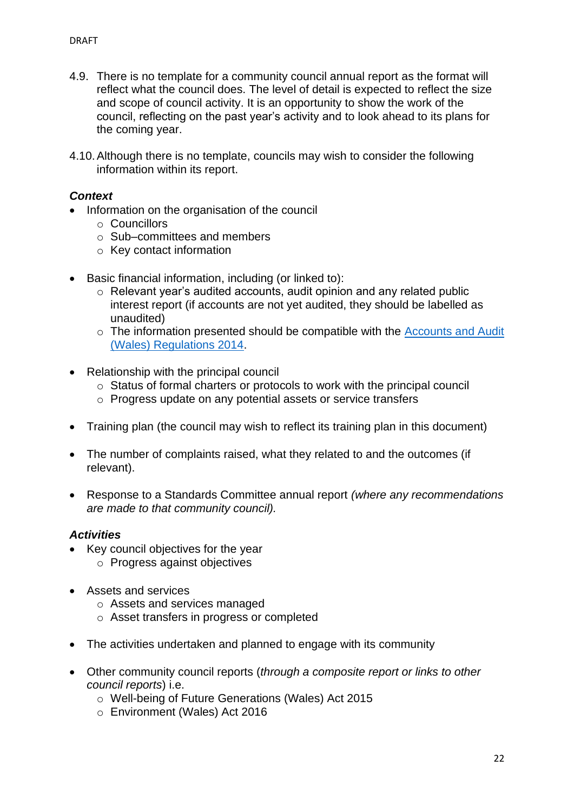- 4.9. There is no template for a community council annual report as the format will reflect what the council does. The level of detail is expected to reflect the size and scope of council activity. It is an opportunity to show the work of the council, reflecting on the past year's activity and to look ahead to its plans for the coming year.
- 4.10.Although there is no template, councils may wish to consider the following information within its report.

### *Context*

- Information on the organisation of the council
	- o Councillors
	- o Sub–committees and members
	- o Key contact information
- Basic financial information, including (or linked to):
	- o Relevant year's audited accounts, audit opinion and any related public interest report (if accounts are not yet audited, they should be labelled as unaudited)
	- o The information presented should be compatible with the [Accounts and Audit](https://www.legislation.gov.uk/wsi/2014/3362/made)  [\(Wales\) Regulations 2014.](https://www.legislation.gov.uk/wsi/2014/3362/made)
- Relationship with the principal council
	- o Status of formal charters or protocols to work with the principal council
	- o Progress update on any potential assets or service transfers
- Training plan (the council may wish to reflect its training plan in this document)
- The number of complaints raised, what they related to and the outcomes (if relevant).
- Response to a Standards Committee annual report *(where any recommendations are made to that community council).*

### *Activities*

- Key council objectives for the year
	- o Progress against objectives
- Assets and services
	- o Assets and services managed
	- o Asset transfers in progress or completed
- The activities undertaken and planned to engage with its community
- Other community council reports (*through a composite report or links to other council reports*) i.e.
	- o Well-being of Future Generations (Wales) Act 2015
	- o Environment (Wales) Act 2016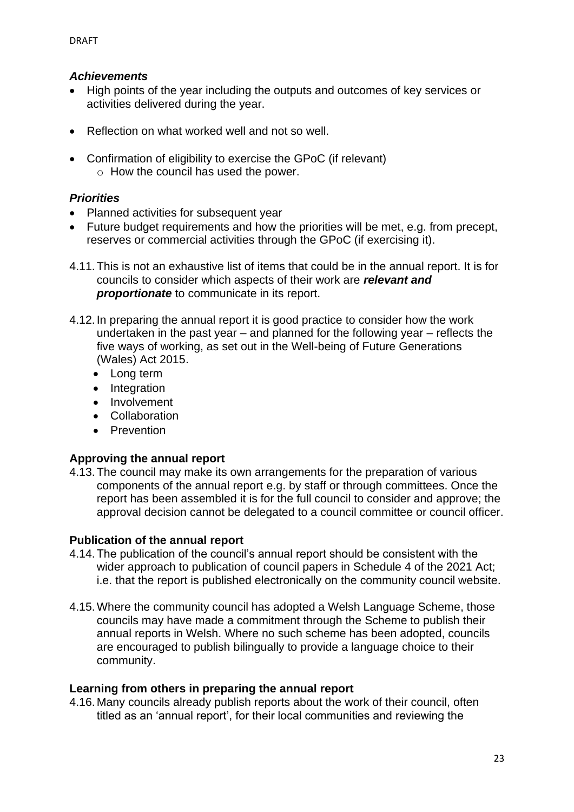### *Achievements*

- High points of the year including the outputs and outcomes of key services or activities delivered during the year.
- Reflection on what worked well and not so well.
- Confirmation of eligibility to exercise the GPoC (if relevant) o How the council has used the power.

### *Priorities*

- Planned activities for subsequent year
- Future budget requirements and how the priorities will be met, e.g. from precept, reserves or commercial activities through the GPoC (if exercising it).
- 4.11.This is not an exhaustive list of items that could be in the annual report. It is for councils to consider which aspects of their work are *relevant and proportionate* to communicate in its report.
- 4.12.In preparing the annual report it is good practice to consider how the work undertaken in the past year – and planned for the following year – reflects the five ways of working, as set out in the Well-being of Future Generations (Wales) Act 2015.
	- Long term
	- Integration
	- Involvement
	- Collaboration
	- Prevention

### <span id="page-22-0"></span>**Approving the annual report**

4.13.The council may make its own arrangements for the preparation of various components of the annual report e.g. by staff or through committees. Once the report has been assembled it is for the full council to consider and approve; the approval decision cannot be delegated to a council committee or council officer.

### <span id="page-22-1"></span>**Publication of the annual report**

- 4.14.The publication of the council's annual report should be consistent with the wider approach to publication of council papers in Schedule 4 of the 2021 Act; i.e. that the report is published electronically on the community council website.
- 4.15.Where the community council has adopted a Welsh Language Scheme, those councils may have made a commitment through the Scheme to publish their annual reports in Welsh. Where no such scheme has been adopted, councils are encouraged to publish bilingually to provide a language choice to their community.

### <span id="page-22-2"></span>**Learning from others in preparing the annual report**

4.16.Many councils already publish reports about the work of their council, often titled as an 'annual report', for their local communities and reviewing the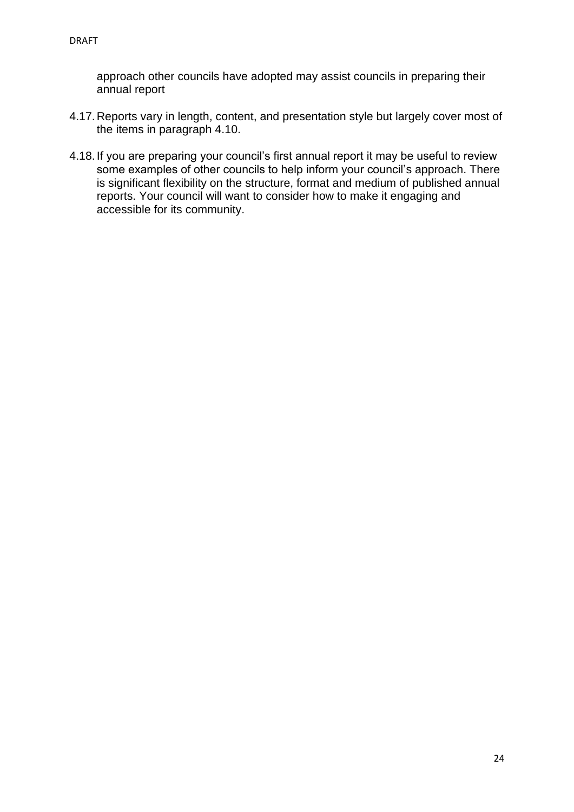approach other councils have adopted may assist councils in preparing their annual report

- 4.17.Reports vary in length, content, and presentation style but largely cover most of the items in paragraph 4.10.
- 4.18.If you are preparing your council's first annual report it may be useful to review some examples of other councils to help inform your council's approach. There is significant flexibility on the structure, format and medium of published annual reports. Your council will want to consider how to make it engaging and accessible for its community.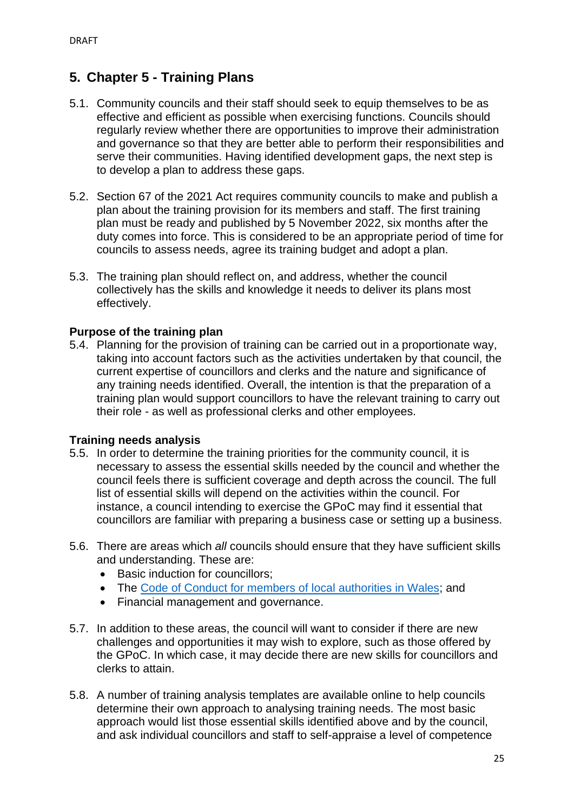### <span id="page-24-0"></span>**5. Chapter 5 - Training Plans**

- 5.1. Community councils and their staff should seek to equip themselves to be as effective and efficient as possible when exercising functions. Councils should regularly review whether there are opportunities to improve their administration and governance so that they are better able to perform their responsibilities and serve their communities. Having identified development gaps, the next step is to develop a plan to address these gaps.
- 5.2. Section 67 of the 2021 Act requires community councils to make and publish a plan about the training provision for its members and staff. The first training plan must be ready and published by 5 November 2022, six months after the duty comes into force. This is considered to be an appropriate period of time for councils to assess needs, agree its training budget and adopt a plan.
- 5.3. The training plan should reflect on, and address, whether the council collectively has the skills and knowledge it needs to deliver its plans most effectively.

### <span id="page-24-1"></span>**Purpose of the training plan**

5.4. Planning for the provision of training can be carried out in a proportionate way, taking into account factors such as the activities undertaken by that council, the current expertise of councillors and clerks and the nature and significance of any training needs identified. Overall, the intention is that the preparation of a training plan would support councillors to have the relevant training to carry out their role - as well as professional clerks and other employees.

### <span id="page-24-2"></span>**Training needs analysis**

- 5.5. In order to determine the training priorities for the community council, it is necessary to assess the essential skills needed by the council and whether the council feels there is sufficient coverage and depth across the council. The full list of essential skills will depend on the activities within the council. For instance, a council intending to exercise the GPoC may find it essential that councillors are familiar with preparing a business case or setting up a business.
- 5.6. There are areas which *all* councils should ensure that they have sufficient skills and understanding. These are:
	- Basic induction for councillors:
	- The [Code of Conduct for members of local authorities in Wales;](https://www.ombudsman.wales/wp-content/uploads/2021/05/Code-of-Conduct-Guidance-Community-Councils.pdf) and
	- Financial management and governance.
- 5.7. In addition to these areas, the council will want to consider if there are new challenges and opportunities it may wish to explore, such as those offered by the GPoC. In which case, it may decide there are new skills for councillors and clerks to attain.
- 5.8. A number of training analysis templates are available online to help councils determine their own approach to analysing training needs. The most basic approach would list those essential skills identified above and by the council, and ask individual councillors and staff to self-appraise a level of competence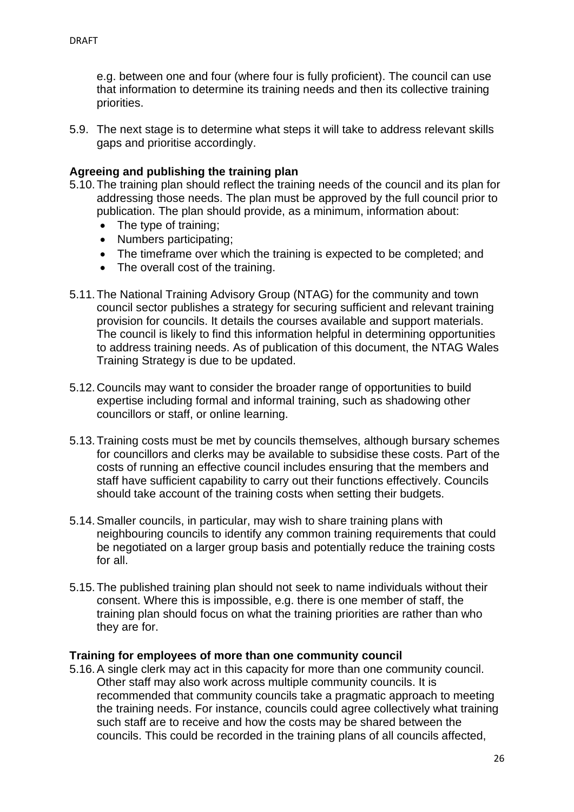e.g. between one and four (where four is fully proficient). The council can use that information to determine its training needs and then its collective training priorities.

5.9. The next stage is to determine what steps it will take to address relevant skills gaps and prioritise accordingly.

### <span id="page-25-0"></span>**Agreeing and publishing the training plan**

- 5.10.The training plan should reflect the training needs of the council and its plan for addressing those needs. The plan must be approved by the full council prior to publication. The plan should provide, as a minimum, information about:
	- The type of training:
	- Numbers participating;
	- The timeframe over which the training is expected to be completed; and
	- The overall cost of the training.
- 5.11.The National Training Advisory Group (NTAG) for the community and town council sector publishes a strategy for securing sufficient and relevant training provision for councils. It details the courses available and support materials. The council is likely to find this information helpful in determining opportunities to address training needs. As of publication of this document, the NTAG Wales Training Strategy is due to be updated.
- 5.12.Councils may want to consider the broader range of opportunities to build expertise including formal and informal training, such as shadowing other councillors or staff, or online learning.
- 5.13.Training costs must be met by councils themselves, although bursary schemes for councillors and clerks may be available to subsidise these costs. Part of the costs of running an effective council includes ensuring that the members and staff have sufficient capability to carry out their functions effectively. Councils should take account of the training costs when setting their budgets.
- 5.14.Smaller councils, in particular, may wish to share training plans with neighbouring councils to identify any common training requirements that could be negotiated on a larger group basis and potentially reduce the training costs for all.
- 5.15.The published training plan should not seek to name individuals without their consent. Where this is impossible, e.g. there is one member of staff, the training plan should focus on what the training priorities are rather than who they are for.

### <span id="page-25-1"></span>**Training for employees of more than one community council**

5.16.A single clerk may act in this capacity for more than one community council. Other staff may also work across multiple community councils. It is recommended that community councils take a pragmatic approach to meeting the training needs. For instance, councils could agree collectively what training such staff are to receive and how the costs may be shared between the councils. This could be recorded in the training plans of all councils affected,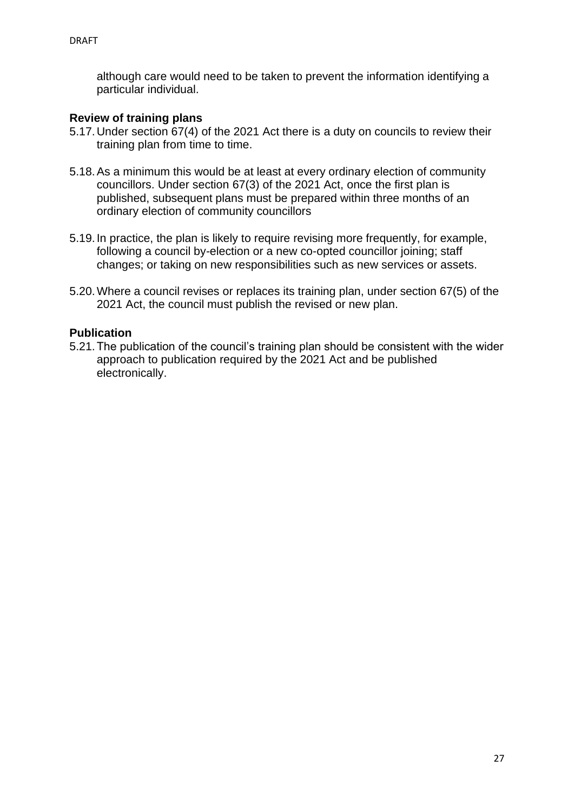although care would need to be taken to prevent the information identifying a particular individual.

### <span id="page-26-0"></span>**Review of training plans**

- 5.17.Under section 67(4) of the 2021 Act there is a duty on councils to review their training plan from time to time.
- 5.18.As a minimum this would be at least at every ordinary election of community councillors. Under section 67(3) of the 2021 Act, once the first plan is published, subsequent plans must be prepared within three months of an ordinary election of community councillors
- 5.19.In practice, the plan is likely to require revising more frequently, for example, following a council by-election or a new co-opted councillor joining; staff changes; or taking on new responsibilities such as new services or assets.
- 5.20.Where a council revises or replaces its training plan, under section 67(5) of the 2021 Act, the council must publish the revised or new plan.

### <span id="page-26-1"></span>**Publication**

5.21.The publication of the council's training plan should be consistent with the wider approach to publication required by the 2021 Act and be published electronically.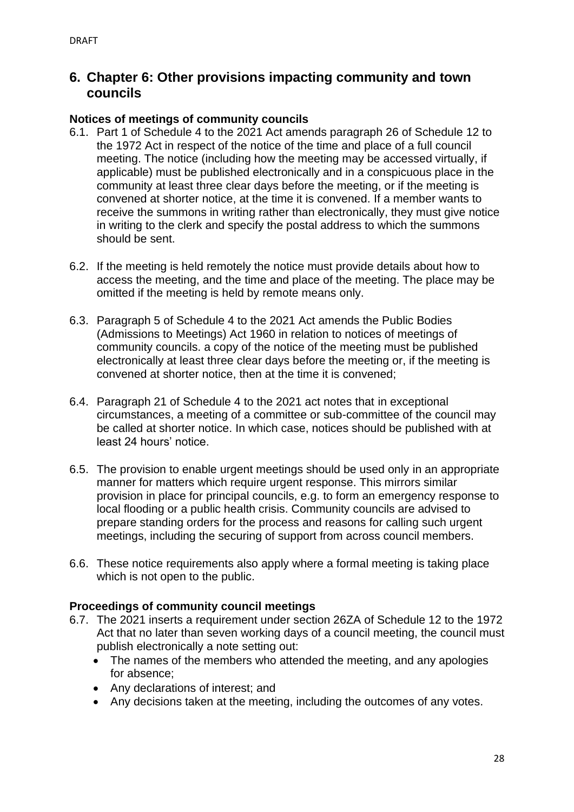### <span id="page-27-0"></span>**6. Chapter 6: Other provisions impacting community and town councils**

### <span id="page-27-1"></span>**Notices of meetings of community councils**

- 6.1. Part 1 of Schedule 4 to the 2021 Act amends paragraph 26 of Schedule 12 to the 1972 Act in respect of the notice of the time and place of a full council meeting. The notice (including how the meeting may be accessed virtually, if applicable) must be published electronically and in a conspicuous place in the community at least three clear days before the meeting, or if the meeting is convened at shorter notice, at the time it is convened. If a member wants to receive the summons in writing rather than electronically, they must give notice in writing to the clerk and specify the postal address to which the summons should be sent.
- 6.2. If the meeting is held remotely the notice must provide details about how to access the meeting, and the time and place of the meeting. The place may be omitted if the meeting is held by remote means only.
- 6.3. Paragraph 5 of Schedule 4 to the 2021 Act amends the Public Bodies (Admissions to Meetings) Act 1960 in relation to notices of meetings of community councils. a copy of the notice of the meeting must be published electronically at least three clear days before the meeting or, if the meeting is convened at shorter notice, then at the time it is convened;
- 6.4. Paragraph 21 of Schedule 4 to the 2021 act notes that in exceptional circumstances, a meeting of a committee or sub-committee of the council may be called at shorter notice. In which case, notices should be published with at least 24 hours' notice.
- 6.5. The provision to enable urgent meetings should be used only in an appropriate manner for matters which require urgent response. This mirrors similar provision in place for principal councils, e.g. to form an emergency response to local flooding or a public health crisis. Community councils are advised to prepare standing orders for the process and reasons for calling such urgent meetings, including the securing of support from across council members.
- 6.6. These notice requirements also apply where a formal meeting is taking place which is not open to the public.

### <span id="page-27-2"></span>**Proceedings of community council meetings**

- 6.7. The 2021 inserts a requirement under section 26ZA of Schedule 12 to the 1972 Act that no later than seven working days of a council meeting, the council must publish electronically a note setting out:
	- The names of the members who attended the meeting, and any apologies for absence;
	- Any declarations of interest; and
	- Any decisions taken at the meeting, including the outcomes of any votes.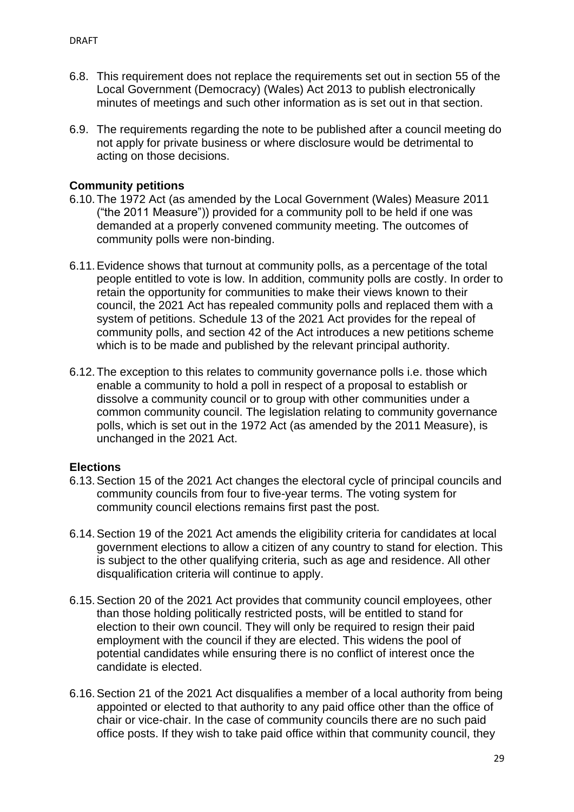- 6.8. This requirement does not replace the requirements set out in section 55 of the Local Government (Democracy) (Wales) Act 2013 to publish electronically minutes of meetings and such other information as is set out in that section.
- 6.9. The requirements regarding the note to be published after a council meeting do not apply for private business or where disclosure would be detrimental to acting on those decisions.

### <span id="page-28-0"></span>**Community petitions**

- 6.10.The 1972 Act (as amended by the Local Government (Wales) Measure 2011 ("the 2011 Measure")) provided for a community poll to be held if one was demanded at a properly convened community meeting. The outcomes of community polls were non-binding.
- 6.11.Evidence shows that turnout at community polls, as a percentage of the total people entitled to vote is low. In addition, community polls are costly. In order to retain the opportunity for communities to make their views known to their council, the 2021 Act has repealed community polls and replaced them with a system of petitions. Schedule 13 of the 2021 Act provides for the repeal of community polls, and section 42 of the Act introduces a new petitions scheme which is to be made and published by the relevant principal authority.
- 6.12.The exception to this relates to community governance polls i.e. those which enable a community to hold a poll in respect of a proposal to establish or dissolve a community council or to group with other communities under a common community council. The legislation relating to community governance polls, which is set out in the 1972 Act (as amended by the 2011 Measure), is unchanged in the 2021 Act.

### <span id="page-28-1"></span>**Elections**

- 6.13.Section 15 of the 2021 Act changes the electoral cycle of principal councils and community councils from four to five-year terms. The voting system for community council elections remains first past the post.
- 6.14.Section 19 of the 2021 Act amends the eligibility criteria for candidates at local government elections to allow a citizen of any country to stand for election. This is subject to the other qualifying criteria, such as age and residence. All other disqualification criteria will continue to apply.
- 6.15.Section 20 of the 2021 Act provides that community council employees, other than those holding politically restricted posts, will be entitled to stand for election to their own council. They will only be required to resign their paid employment with the council if they are elected. This widens the pool of potential candidates while ensuring there is no conflict of interest once the candidate is elected.
- 6.16.Section 21 of the 2021 Act disqualifies a member of a local authority from being appointed or elected to that authority to any paid office other than the office of chair or vice-chair. In the case of community councils there are no such paid office posts. If they wish to take paid office within that community council, they